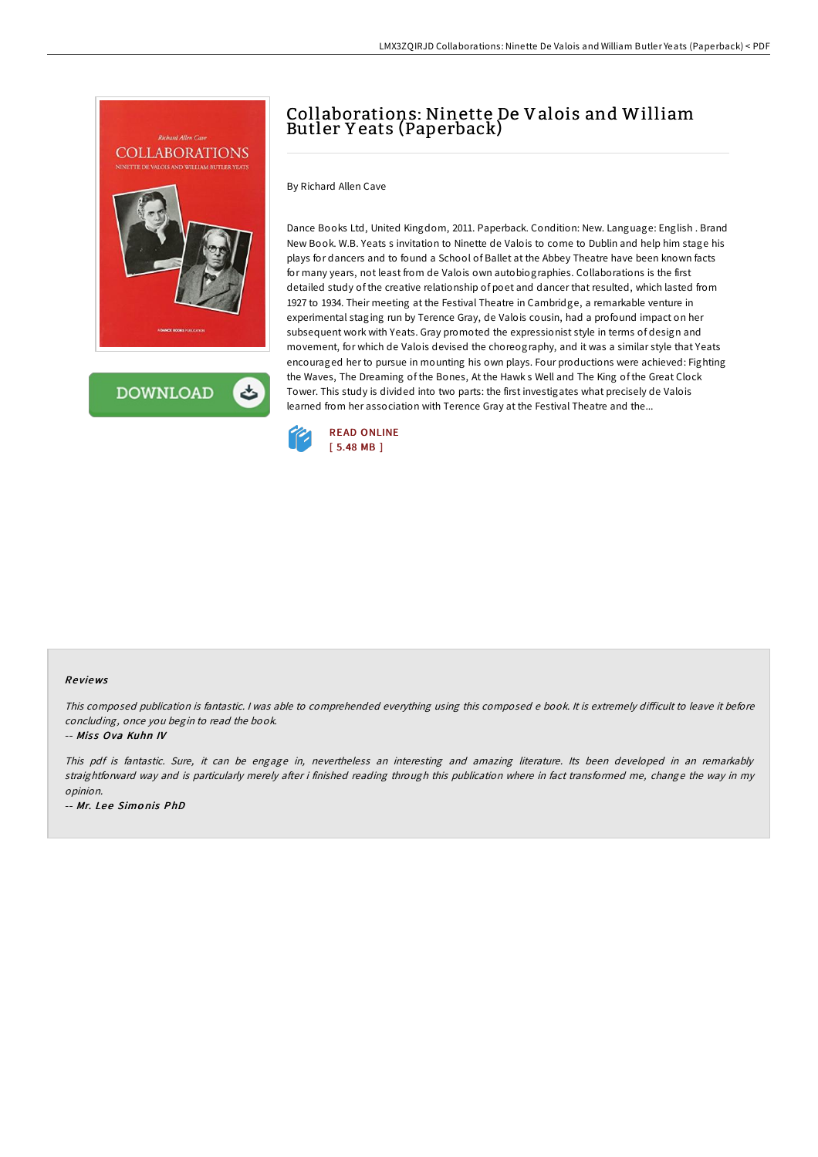

**DOWNLOAD** 

## Collaborations: Ninette De Valois and William Butler Y eats (Paperback)

By Richard Allen Cave

Dance Books Ltd, United Kingdom, 2011. Paperback. Condition: New. Language: English . Brand New Book. W.B. Yeats s invitation to Ninette de Valois to come to Dublin and help him stage his plays for dancers and to found a School of Ballet at the Abbey Theatre have been known facts for many years, not least from de Valois own autobiographies. Collaborations is the first detailed study of the creative relationship of poet and dancer that resulted, which lasted from 1927 to 1934. Their meeting at the Festival Theatre in Cambridge, a remarkable venture in experimental staging run by Terence Gray, de Valois cousin, had a profound impact on her subsequent work with Yeats. Gray promoted the expressionist style in terms of design and movement, for which de Valois devised the choreography, and it was a similar style that Yeats encouraged her to pursue in mounting his own plays. Four productions were achieved: Fighting the Waves, The Dreaming of the Bones, At the Hawk s Well and The King of the Great Clock Tower. This study is divided into two parts: the first investigates what precisely de Valois learned from her association with Terence Gray at the Festival Theatre and the...



## Re views

This composed publication is fantastic. I was able to comprehended everything using this composed e book. It is extremely difficult to leave it before concluding, once you begin to read the book.

-- Miss Ova Kuhn IV

This pdf is fantastic. Sure, it can be engage in, nevertheless an interesting and amazing literature. Its been developed in an remarkably straightforward way and is particularly merely after i finished reading through this publication where in fact transformed me, change the way in my opinion.

-- Mr. Lee Simonis PhD